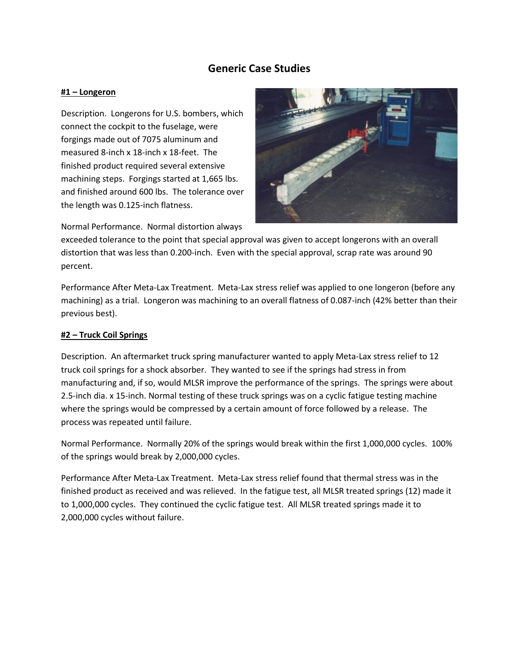# **Generic Case Studies**

# **#1 – Longeron**

Description. Longerons for U.S. bombers, which connect the cockpit to the fuselage, were forgings made out of 7075 aluminum and measured 8-inch x 18-inch x 18-feet. The finished product required several extensive machining steps. Forgings started at 1,665 lbs. and finished around 600 lbs. The tolerance over the length was 0.125-inch flatness.



Normal Performance. Normal distortion always

exceeded tolerance to the point that special approval was given to accept longerons with an overall distortion that was less than 0.200-inch. Even with the special approval, scrap rate was around 90 percent.

Performance After Meta-Lax Treatment. Meta-Lax stress relief was applied to one longeron (before any machining) as a trial. Longeron was machining to an overall flatness of 0.087-inch (42% better than their previous best).

# **#2 – Truck Coil Springs**

Description. An aftermarket truck spring manufacturer wanted to apply Meta-Lax stress relief to 12 truck coil springs for a shock absorber. They wanted to see if the springs had stress in from manufacturing and, if so, would MLSR improve the performance of the springs. The springs were about 2.5-inch dia. x 15-inch. Normal testing of these truck springs was on a cyclic fatigue testing machine where the springs would be compressed by a certain amount of force followed by a release. The process was repeated until failure.

Normal Performance. Normally 20% of the springs would break within the first 1,000,000 cycles. 100% of the springs would break by 2,000,000 cycles.

Performance After Meta-Lax Treatment. Meta-Lax stress relief found that thermal stress was in the finished product as received and was relieved. In the fatigue test, all MLSR treated springs (12) made it to 1,000,000 cycles. They continued the cyclic fatigue test. All MLSR treated springs made it to 2,000,000 cycles without failure.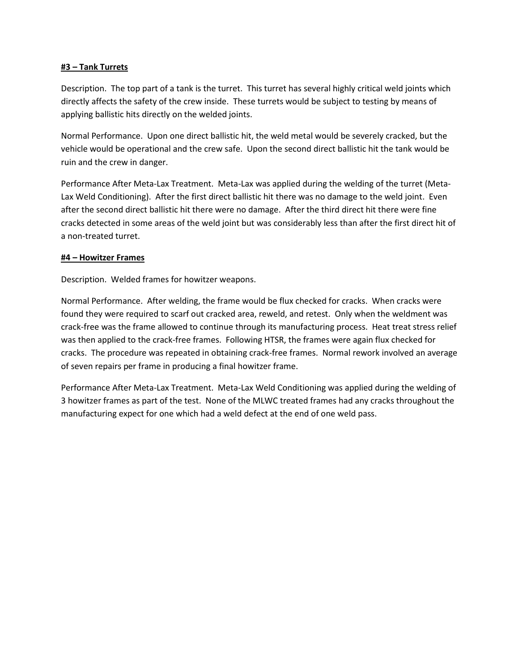# **#3 – Tank Turrets**

Description. The top part of a tank is the turret. This turret has several highly critical weld joints which directly affects the safety of the crew inside. These turrets would be subject to testing by means of applying ballistic hits directly on the welded joints.

Normal Performance. Upon one direct ballistic hit, the weld metal would be severely cracked, but the vehicle would be operational and the crew safe. Upon the second direct ballistic hit the tank would be ruin and the crew in danger.

Performance After Meta-Lax Treatment. Meta-Lax was applied during the welding of the turret (Meta-Lax Weld Conditioning). After the first direct ballistic hit there was no damage to the weld joint. Even after the second direct ballistic hit there were no damage. After the third direct hit there were fine cracks detected in some areas of the weld joint but was considerably less than after the first direct hit of a non-treated turret.

#### **#4 – Howitzer Frames**

Description. Welded frames for howitzer weapons.

Normal Performance. After welding, the frame would be flux checked for cracks. When cracks were found they were required to scarf out cracked area, reweld, and retest. Only when the weldment was crack-free was the frame allowed to continue through its manufacturing process. Heat treat stress relief was then applied to the crack-free frames. Following HTSR, the frames were again flux checked for cracks. The procedure was repeated in obtaining crack-free frames. Normal rework involved an average of seven repairs per frame in producing a final howitzer frame.

Performance After Meta-Lax Treatment. Meta-Lax Weld Conditioning was applied during the welding of 3 howitzer frames as part of the test. None of the MLWC treated frames had any cracks throughout the manufacturing expect for one which had a weld defect at the end of one weld pass.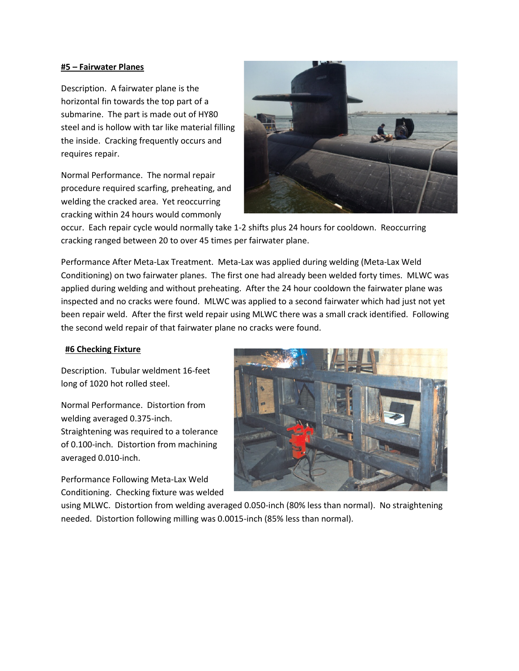#### **#5 – Fairwater Planes**

Description. A fairwater plane is the horizontal fin towards the top part of a submarine. The part is made out of HY80 steel and is hollow with tar like material filling the inside. Cracking frequently occurs and requires repair.

Normal Performance. The normal repair procedure required scarfing, preheating, and welding the cracked area. Yet reoccurring cracking within 24 hours would commonly



occur. Each repair cycle would normally take 1-2 shifts plus 24 hours for cooldown. Reoccurring cracking ranged between 20 to over 45 times per fairwater plane.

Performance After Meta-Lax Treatment. Meta-Lax was applied during welding (Meta-Lax Weld Conditioning) on two fairwater planes. The first one had already been welded forty times. MLWC was applied during welding and without preheating. After the 24 hour cooldown the fairwater plane was inspected and no cracks were found. MLWC was applied to a second fairwater which had just not yet been repair weld. After the first weld repair using MLWC there was a small crack identified. Following the second weld repair of that fairwater plane no cracks were found.

# **#6 Checking Fixture**

Description. Tubular weldment 16-feet long of 1020 hot rolled steel.

Normal Performance. Distortion from welding averaged 0.375-inch. Straightening was required to a tolerance of 0.100-inch. Distortion from machining averaged 0.010-inch.

Performance Following Meta-Lax Weld Conditioning. Checking fixture was welded



using MLWC. Distortion from welding averaged 0.050-inch (80% less than normal). No straightening needed. Distortion following milling was 0.0015-inch (85% less than normal).